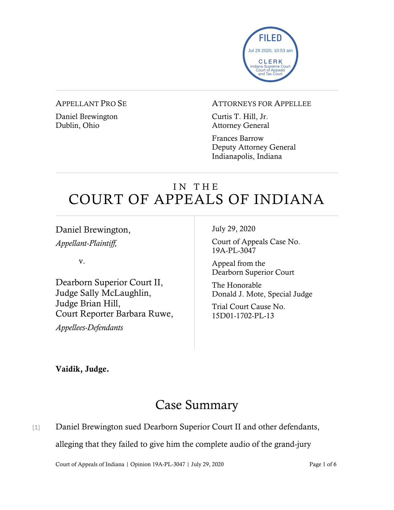

#### APPELLANT PRO SE

Daniel Brewington Dublin, Ohio

#### ATTORNEYS FOR APPELLEE

Curtis T. Hill, Jr. Attorney General

Frances Barrow Deputy Attorney General Indianapolis, Indiana

## IN THE COURT OF APPEALS OF INDIANA

Daniel Brewington,

*Appellant-Plaintiff,*

v.

Dearborn Superior Court II, Judge Sally McLaughlin, Judge Brian Hill, Court Reporter Barbara Ruwe,

*Appellees-Defendants*

July 29, 2020

Court of Appeals Case No. 19A-PL-3047

Appeal from the Dearborn Superior Court

The Honorable Donald J. Mote, Special Judge

Trial Court Cause No. 15D01-1702-PL-13

Vaidik, Judge.

# Case Summary

[1] Daniel Brewington sued Dearborn Superior Court II and other defendants,

alleging that they failed to give him the complete audio of the grand-jury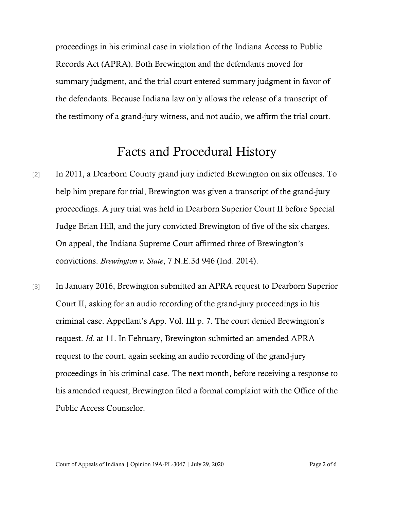proceedings in his criminal case in violation of the Indiana Access to Public Records Act (APRA). Both Brewington and the defendants moved for summary judgment, and the trial court entered summary judgment in favor of the defendants. Because Indiana law only allows the release of a transcript of the testimony of a grand-jury witness, and not audio, we affirm the trial court.

### Facts and Procedural History

- [2] In 2011, a Dearborn County grand jury indicted Brewington on six offenses. To help him prepare for trial, Brewington was given a transcript of the grand-jury proceedings. A jury trial was held in Dearborn Superior Court II before Special Judge Brian Hill, and the jury convicted Brewington of five of the six charges. On appeal, the Indiana Supreme Court affirmed three of Brewington's convictions. *Brewington v. State*, 7 N.E.3d 946 (Ind. 2014).
- [3] In January 2016, Brewington submitted an APRA request to Dearborn Superior Court II, asking for an audio recording of the grand-jury proceedings in his criminal case. Appellant's App. Vol. III p. 7. The court denied Brewington's request. *Id.* at 11. In February, Brewington submitted an amended APRA request to the court, again seeking an audio recording of the grand-jury proceedings in his criminal case. The next month, before receiving a response to his amended request, Brewington filed a formal complaint with the Office of the Public Access Counselor.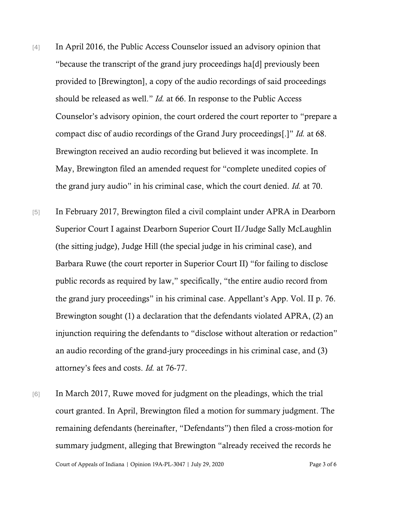- [4] In April 2016, the Public Access Counselor issued an advisory opinion that "because the transcript of the grand jury proceedings ha[d] previously been provided to [Brewington], a copy of the audio recordings of said proceedings should be released as well." *Id.* at 66. In response to the Public Access Counselor's advisory opinion, the court ordered the court reporter to "prepare a compact disc of audio recordings of the Grand Jury proceedings[.]" *Id.* at 68. Brewington received an audio recording but believed it was incomplete. In May, Brewington filed an amended request for "complete unedited copies of the grand jury audio" in his criminal case, which the court denied. *Id.* at 70.
- [5] In February 2017, Brewington filed a civil complaint under APRA in Dearborn Superior Court I against Dearborn Superior Court II/Judge Sally McLaughlin (the sitting judge), Judge Hill (the special judge in his criminal case), and Barbara Ruwe (the court reporter in Superior Court II) "for failing to disclose public records as required by law," specifically, "the entire audio record from the grand jury proceedings" in his criminal case. Appellant's App. Vol. II p. 76. Brewington sought (1) a declaration that the defendants violated APRA, (2) an injunction requiring the defendants to "disclose without alteration or redaction" an audio recording of the grand-jury proceedings in his criminal case, and (3) attorney's fees and costs. *Id.* at 76-77.
- [6] In March 2017, Ruwe moved for judgment on the pleadings, which the trial court granted. In April, Brewington filed a motion for summary judgment. The remaining defendants (hereinafter, "Defendants") then filed a cross-motion for summary judgment, alleging that Brewington "already received the records he

Court of Appeals of Indiana | Opinion 19A-PL-3047 | July 29, 2020 Page 3 of 6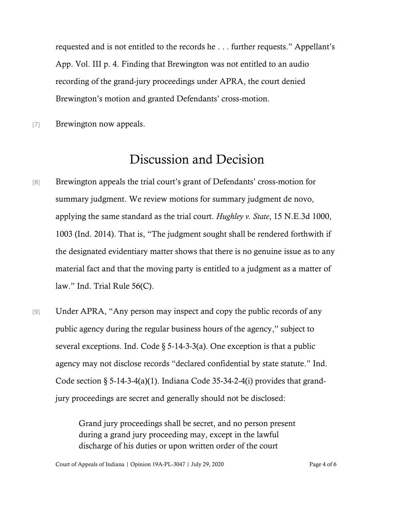requested and is not entitled to the records he . . . further requests." Appellant's App. Vol. III p. 4. Finding that Brewington was not entitled to an audio recording of the grand-jury proceedings under APRA, the court denied Brewington's motion and granted Defendants' cross-motion.

[7] Brewington now appeals.

### Discussion and Decision

- [8] Brewington appeals the trial court's grant of Defendants' cross-motion for summary judgment. We review motions for summary judgment de novo, applying the same standard as the trial court. *Hughley v. State*, 15 N.E.3d 1000, 1003 (Ind. 2014). That is, "The judgment sought shall be rendered forthwith if the designated evidentiary matter shows that there is no genuine issue as to any material fact and that the moving party is entitled to a judgment as a matter of law." Ind. Trial Rule 56(C).
- [9] Under APRA, "Any person may inspect and copy the public records of any public agency during the regular business hours of the agency," subject to several exceptions. Ind. Code  $\S$  5-14-3-3(a). One exception is that a public agency may not disclose records "declared confidential by state statute." Ind. Code section  $\S 5{\text -}14{\text -}3{\text -}4(a)(1)$ . Indiana Code 35-34-2-4(i) provides that grandjury proceedings are secret and generally should not be disclosed:

Grand jury proceedings shall be secret, and no person present during a grand jury proceeding may, except in the lawful discharge of his duties or upon written order of the court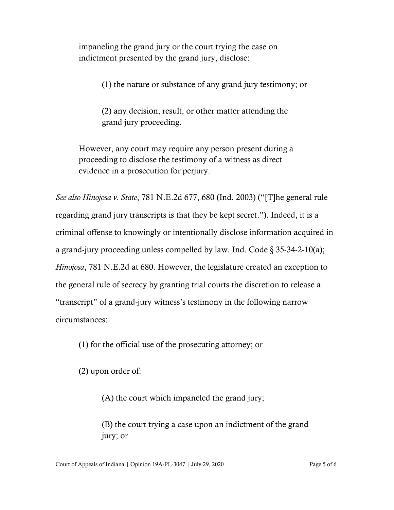impaneling the grand jury or the court trying the case on indictment presented by the grand jury, disclose:

(1) the nature or substance of any grand jury testimony; or

(2) any decision, result, or other matter attending the grand jury proceeding.

However, any court may require any person present during a proceeding to disclose the testimony of a witness as direct evidence in a prosecution for perjury.

*See also Hinojosa v. State*, 781 N.E.2d 677, 680 (Ind. 2003) ("[T]he general rule regarding grand jury transcripts is that they be kept secret."). Indeed, it is a criminal offense to knowingly or intentionally disclose information acquired in a grand-jury proceeding unless compelled by law. Ind. Code  $\S 35-34-2-10(a)$ ; *Hinojosa*, 781 N.E.2d at 680. However, the legislature created an exception to the general rule of secrecy by granting trial courts the discretion to release a "transcript" of a grand-jury witness's testimony in the following narrow circumstances:

(1) for the official use of the prosecuting attorney; or

(2) upon order of:

(A) the court which impaneled the grand jury;

(B) the court trying a case upon an indictment of the grand jury; or